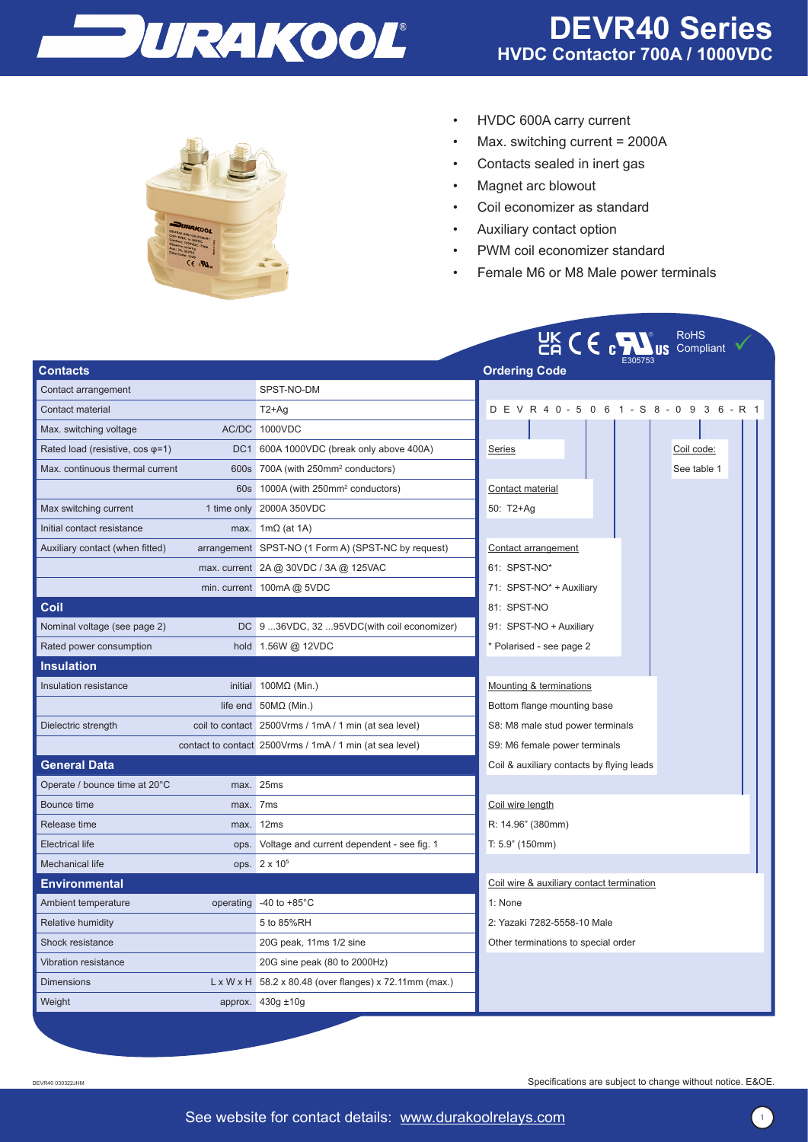



- HVDC 600A carry current
- Max. switching current = 2000A
- Contacts sealed in inert gas
- Magnet arc blowout
- Coil economizer as standard
- Auxiliary contact option
- PWM coil economizer standard
- Female M6 or M8 Male power terminals

|                                          |                                                                    | <b>N</b> <sup>®</sup> RoHS<br><b>US</b> Compliant<br>CACE <sub>C</sub> H |  |  |
|------------------------------------------|--------------------------------------------------------------------|--------------------------------------------------------------------------|--|--|
| <b>Contacts</b>                          | <b>Ordering Code</b>                                               |                                                                          |  |  |
| Contact arrangement                      | SPST-NO-DM                                                         |                                                                          |  |  |
| Contact material                         | $T2+Aq$                                                            | D E V R 4 0 - 5 0 6 1 - S 8 - 0 9 3 6 - R 1                              |  |  |
| Max. switching voltage                   | AC/DC 1000VDC                                                      |                                                                          |  |  |
| Rated load (resistive, cos $\varphi$ =1) | DC1 600A 1000VDC (break only above 400A)                           | Series<br>Coil code:                                                     |  |  |
| Max. continuous thermal current          | 600s 700A (with 250mm <sup>2</sup> conductors)                     | See table 1                                                              |  |  |
|                                          | 60s 1000A (with 250mm <sup>2</sup> conductors)                     | Contact material                                                         |  |  |
| Max switching current                    | 1 time only 2000A 350VDC                                           | 50: T2+Ag                                                                |  |  |
| Initial contact resistance               | max. $1m\Omega$ (at 1A)                                            |                                                                          |  |  |
| Auxiliary contact (when fitted)          | arrangement SPST-NO (1 Form A) (SPST-NC by request)                | Contact arrangement                                                      |  |  |
|                                          | max. current 2A @ 30VDC / 3A @ 125VAC                              | 61: SPST-NO*                                                             |  |  |
|                                          | min. current $100mA @ 5VDC$                                        | 71: SPST-NO* + Auxiliary                                                 |  |  |
| Coil                                     |                                                                    | 81: SPST-NO                                                              |  |  |
| Nominal voltage (see page 2)             | DC 9 36VDC, 32 95VDC(with coil economizer)                         | 91: SPST-NO + Auxiliary                                                  |  |  |
| Rated power consumption                  | hold 1.56W @ 12VDC                                                 | * Polarised - see page 2                                                 |  |  |
| <b>Insulation</b>                        |                                                                    |                                                                          |  |  |
| Insulation resistance                    | initial $100M\Omega$ (Min.)                                        | Mounting & terminations                                                  |  |  |
|                                          | life end $50M\Omega$ (Min.)                                        | Bottom flange mounting base                                              |  |  |
| Dielectric strength                      | coil to contact 2500Vrms / 1mA / 1 min (at sea level)              | S8: M8 male stud power terminals                                         |  |  |
|                                          | contact to contact 2500Vrms / 1mA / 1 min (at sea level)           | S9: M6 female power terminals                                            |  |  |
| <b>General Data</b>                      |                                                                    | Coil & auxiliary contacts by flying leads                                |  |  |
| Operate / bounce time at 20°C            | max. 25ms                                                          |                                                                          |  |  |
| Bounce time                              | max. 7ms                                                           | Coil wire length                                                         |  |  |
| Release time<br>max.                     | 12 <sub>ms</sub>                                                   | R: 14.96" (380mm)                                                        |  |  |
| <b>Electrical life</b><br>ops.           | Voltage and current dependent - see fig. 1                         | T: 5.9" (150mm)                                                          |  |  |
| <b>Mechanical life</b>                   | ops. 2 x 10 <sup>5</sup>                                           |                                                                          |  |  |
| <b>Environmental</b>                     |                                                                    | Coil wire & auxiliary contact termination                                |  |  |
| Ambient temperature<br>operating         | -40 to $+85^{\circ}$ C                                             | 1: None                                                                  |  |  |
| <b>Relative humidity</b>                 | 5 to 85%RH                                                         | 2: Yazaki 7282-5558-10 Male                                              |  |  |
| Shock resistance                         | 20G peak, 11ms 1/2 sine                                            | Other terminations to special order                                      |  |  |
| Vibration resistance                     | 20G sine peak (80 to 2000Hz)                                       |                                                                          |  |  |
| <b>Dimensions</b>                        | $L \times W \times H$ 58.2 x 80.48 (over flanges) x 72.11mm (max.) |                                                                          |  |  |
| Weight                                   | approx. $430g \pm 10g$                                             |                                                                          |  |  |